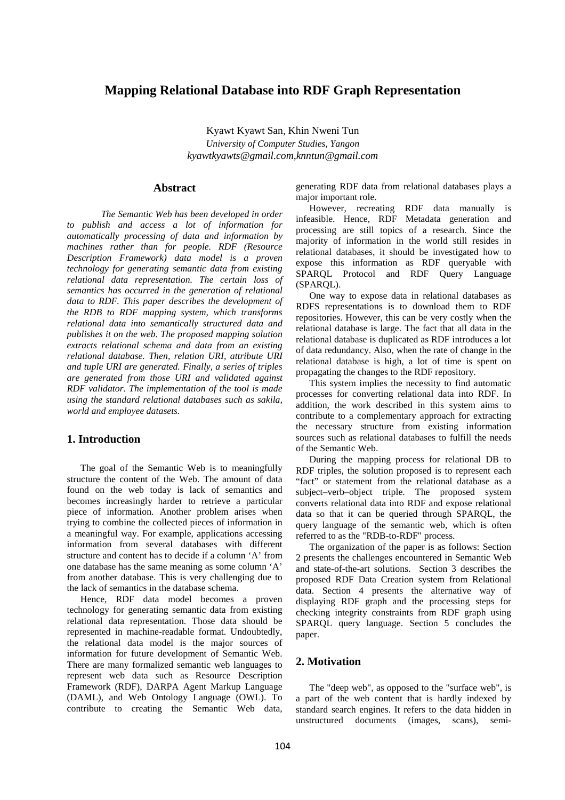# **Mapping Relational Database into RDF Graph Representation**

Kyawt Kyawt San, Khin Nweni Tun *University of Computer Studies, Yangon kyawtkyawts@gmail.com,knntun@gmail.com*

## **Abstract**

*The Semantic Web has been developed in order to publish and access a lot of information for automatically processing of data and information by machines rather than for people. RDF (Resource Description Framework) data model is a proven technology for generating semantic data from existing relational data representation. The certain loss of semantics has occurred in the generation of relational data to RDF. This paper describes the development of the RDB to RDF mapping system, which transforms relational data into semantically structured data and publishes it on the web. The proposed mapping solution extracts relational schema and data from an existing relational database. Then, relation URI, attribute URI and tuple URI are generated. Finally, a series of triples are generated from those URI and validated against RDF validator. The implementation of the tool is made using the standard relational databases such as sakila, world and employee datasets.* 

## **1. Introduction**

 The goal of the Semantic Web is to meaningfully structure the content of the Web. The amount of data found on the web today is lack of semantics and becomes increasingly harder to retrieve a particular piece of information. Another problem arises when trying to combine the collected pieces of information in a meaningful way. For example, applications accessing information from several databases with different structure and content has to decide if a column 'A' from one database has the same meaning as some column 'A' from another database. This is very challenging due to the lack of semantics in the database schema.

 Hence, RDF data model becomes a proven technology for generating semantic data from existing relational data representation. Those data should be represented in machine-readable format. Undoubtedly, the relational data model is the major sources of information for future development of Semantic Web. There are many formalized semantic web languages to represent web data such as Resource Description Framework (RDF), DARPA Agent Markup Language (DAML), and Web Ontology Language (OWL). To contribute to creating the Semantic Web data,

generating RDF data from relational databases plays a major important role.

 However, recreating RDF data manually is infeasible. Hence, RDF Metadata generation and processing are still topics of a research. Since the majority of information in the world still resides in relational databases, it should be investigated how to expose this information as RDF queryable with SPARQL Protocol and RDF Query Language (SPARQL).

 One way to expose data in relational databases as RDFS representations is to download them to RDF repositories. However, this can be very costly when the relational database is large. The fact that all data in the relational database is duplicated as RDF introduces a lot of data redundancy. Also, when the rate of change in the relational database is high, a lot of time is spent on propagating the changes to the RDF repository.

 This system implies the necessity to find automatic processes for converting relational data into RDF. In addition, the work described in this system aims to contribute to a complementary approach for extracting the necessary structure from existing information sources such as relational databases to fulfill the needs of the Semantic Web.

 During the mapping process for relational DB to RDF triples, the solution proposed is to represent each "fact" or statement from the relational database as a subject–verb–object triple. The proposed system converts relational data into RDF and expose relational data so that it can be queried through SPARQL, the query language of the semantic web, which is often referred to as the "RDB-to-RDF" process.

 The organization of the paper is as follows: Section 2 presents the challenges encountered in Semantic Web and state-of-the-art solutions. Section 3 describes the proposed RDF Data Creation system from Relational data. Section 4 presents the alternative way of displaying RDF graph and the processing steps for checking integrity constraints from RDF graph using SPARQL query language. Section 5 concludes the paper.

# **2. Motivation**

 The "deep web", as opposed to the "surface web", is a part of the web content that is hardly indexed by standard search engines. It refers to the data hidden in unstructured documents (images, scans), semi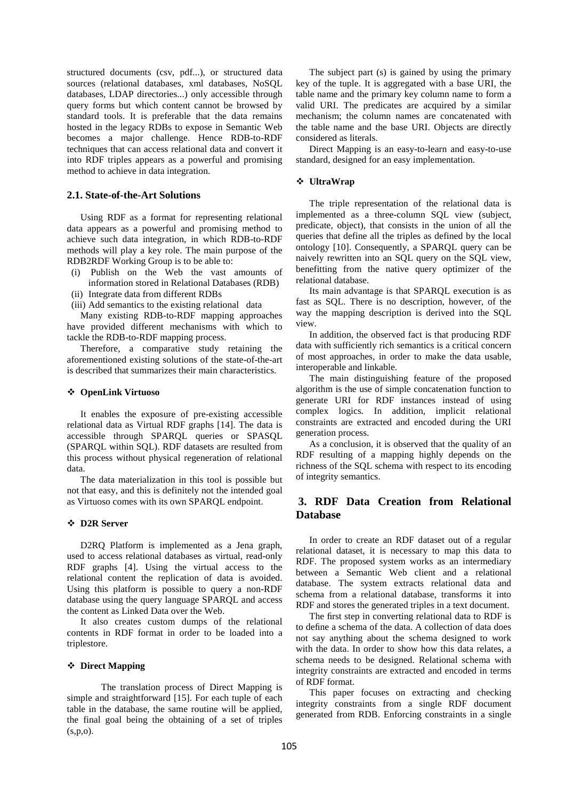structured documents (csv, pdf...), or structured data sources (relational databases, xml databases, NoSQL databases, LDAP directories...) only accessible through query forms but which content cannot be browsed by standard tools. It is preferable that the data remains hosted in the legacy RDBs to expose in Semantic Web becomes a major challenge. Hence RDB-to-RDF techniques that can access relational data and convert it into RDF triples appears as a powerful and promising method to achieve in data integration.

## **2.1. State-of-the-Art Solutions**

 Using RDF as a format for representing relational data appears as a powerful and promising method to achieve such data integration, in which RDB-to-RDF methods will play a key role. The main purpose of the RDB2RDF Working Group is to be able to:

- (i) Publish on the Web the vast amounts of information stored in Relational Databases (RDB)
- (ii) Integrate data from different RDBs
- (iii) Add semantics to the existing relational data

 Many existing RDB-to-RDF mapping approaches have provided different mechanisms with which to tackle the RDB-to-RDF mapping process.

 Therefore, a comparative study retaining the aforementioned existing solutions of the state-of-the-art is described that summarizes their main characteristics.

## **OpenLink Virtuoso**

 It enables the exposure of pre-existing accessible relational data as Virtual RDF graphs [14]. The data is accessible through SPARQL queries or SPASQL (SPARQL within SQL). RDF datasets are resulted from this process without physical regeneration of relational data.

 The data materialization in this tool is possible but not that easy, and this is definitely not the intended goal as Virtuoso comes with its own SPARQL endpoint.

#### **D2R Server**

 D2RQ Platform is implemented as a Jena graph, used to access relational databases as virtual, read-only RDF graphs [4]. Using the virtual access to the relational content the replication of data is avoided. Using this platform is possible to query a non-RDF database using the query language SPARQL and access the content as Linked Data over the Web.

 It also creates custom dumps of the relational contents in RDF format in order to be loaded into a triplestore.

#### **Direct Mapping**

The translation process of Direct Mapping is simple and straightforward [15]. For each tuple of each table in the database, the same routine will be applied, the final goal being the obtaining of a set of triples (s,p,o).

 The subject part (s) is gained by using the primary key of the tuple. It is aggregated with a base URI, the table name and the primary key column name to form a valid URI. The predicates are acquired by a similar mechanism; the column names are concatenated with the table name and the base URI. Objects are directly considered as literals.

 Direct Mapping is an easy-to-learn and easy-to-use standard, designed for an easy implementation.

## **UltraWrap**

 The triple representation of the relational data is implemented as a three-column SQL view (subject, predicate, object), that consists in the union of all the queries that define all the triples as defined by the local ontology [10]. Consequently, a SPARQL query can be naively rewritten into an SQL query on the SQL view, benefitting from the native query optimizer of the relational database.

 Its main advantage is that SPARQL execution is as fast as SQL. There is no description, however, of the way the mapping description is derived into the SQL view.

 In addition, the observed fact is that producing RDF data with sufficiently rich semantics is a critical concern of most approaches, in order to make the data usable, interoperable and linkable.

 The main distinguishing feature of the proposed algorithm is the use of simple concatenation function to generate URI for RDF instances instead of using complex logics. In addition, implicit relational constraints are extracted and encoded during the URI generation process.

 As a conclusion, it is observed that the quality of an RDF resulting of a mapping highly depends on the richness of the SQL schema with respect to its encoding of integrity semantics.

# **3. RDF Data Creation from Relational Database**

 In order to create an RDF dataset out of a regular relational dataset, it is necessary to map this data to RDF. The proposed system works as an intermediary between a Semantic Web client and a relational database. The system extracts relational data and schema from a relational database, transforms it into RDF and stores the generated triples in a text document.

 The first step in converting relational data to RDF is to define a schema of the data. A collection of data does not say anything about the schema designed to work with the data. In order to show how this data relates, a schema needs to be designed. Relational schema with integrity constraints are extracted and encoded in terms of RDF format.

 This paper focuses on extracting and checking integrity constraints from a single RDF document generated from RDB. Enforcing constraints in a single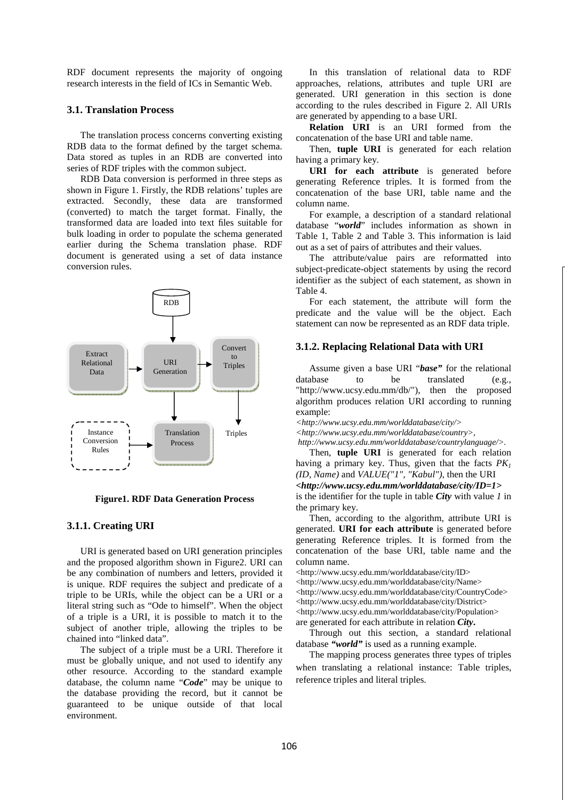RDF document represents the majority of ongoing research interests in the field of ICs in Semantic Web.

## **3.1. Translation Process**

 The translation process concerns converting existing RDB data to the format defined by the target schema. Data stored as tuples in an RDB are converted into series of RDF triples with the common subject.

 RDB Data conversion is performed in three steps as shown in Figure 1. Firstly, the RDB relations' tuples are extracted. Secondly, these data are transformed (converted) to match the target format. Finally, the transformed data are loaded into text files suitable for bulk loading in order to populate the schema generated earlier during the Schema translation phase. RDF document is generated using a set of data instance conversion rules.



**Figure1. RDF Data Generation Process** 

### **3.1.1. Creating URI**

 URI is generated based on URI generation principles and the proposed algorithm shown in Figure2. URI can be any combination of numbers and letters, provided it is unique. RDF requires the subject and predicate of a triple to be URIs, while the object can be a URI or a literal string such as "Ode to himself". When the object of a triple is a URI, it is possible to match it to the subject of another triple, allowing the triples to be chained into "linked data".

 The subject of a triple must be a URI. Therefore it must be globally unique, and not used to identify any other resource. According to the standard example database, the column name "*Code*" may be unique to the database providing the record, but it cannot be guaranteed to be unique outside of that local environment.

 In this translation of relational data to RDF approaches, relations, attributes and tuple URI are generated. URI generation in this section is done according to the rules described in Figure 2. All URIs are generated by appending to a base URI.

 **Relation URI** is an URI formed from the concatenation of the base URI and table name.

 Then, **tuple URI** is generated for each relation having a primary key.

 **URI for each attribute** is generated before generating Reference triples. It is formed from the concatenation of the base URI, table name and the column name.

 For example, a description of a standard relational database "*world*" includes information as shown in Table 1, Table 2 and Table 3. This information is laid out as a set of pairs of attributes and their values.

 The attribute/value pairs are reformatted into subject-predicate-object statements by using the record identifier as the subject of each statement, as shown in Table 4.

 For each statement, the attribute will form the predicate and the value will be the object. Each statement can now be represented as an RDF data triple.

#### **3.1.2. Replacing Relational Data with URI**

 Assume given a base URI "*base"* for the relational database to be translated (e.g., "http://www.ucsv.edu.mm/db/"), then the proposed "http://www.ucsy.edu.mm/db/"), algorithm produces relation URI according to running example:

*<http://www.ucsy.edu.mm/worlddatabase/city/>* 

*<http://www.ucsy.edu.mm/worlddatabase/country>,* 

 *http://www.ucsy.edu.mm/worlddatabase/countrylanguage/>.* 

 Then, **tuple URI** is generated for each relation having a primary key. Thus, given that the facts *PK<sup>1</sup> (ID, Name)* and *VALUE("1", "Kabul")*, then the URI

*<http://www.ucsy.edu.mm/worlddatabase/city/ID=1>*

is the identifier for the tuple in table *City* with value *1* in the primary key.

 Then, according to the algorithm, attribute URI is generated. **URI for each attribute** is generated before generating Reference triples. It is formed from the concatenation of the base URI, table name and the column name.

<http://www.ucsy.edu.mm/worlddatabase/city/ID>

<http://www.ucsy.edu.mm/worlddatabase/city/Name>

<http://www.ucsy.edu.mm/worlddatabase/city/CountryCode>

<http://www.ucsy.edu.mm/worlddatabase/city/District>

<http://www.ucsy.edu.mm/worlddatabase/city/Population> are generated for each attribute in relation *City***.** 

 Through out this section, a standard relational database *"world"* is used as a running example.

 The mapping process generates three types of triples when translating a relational instance: Table triples, reference triples and literal triples.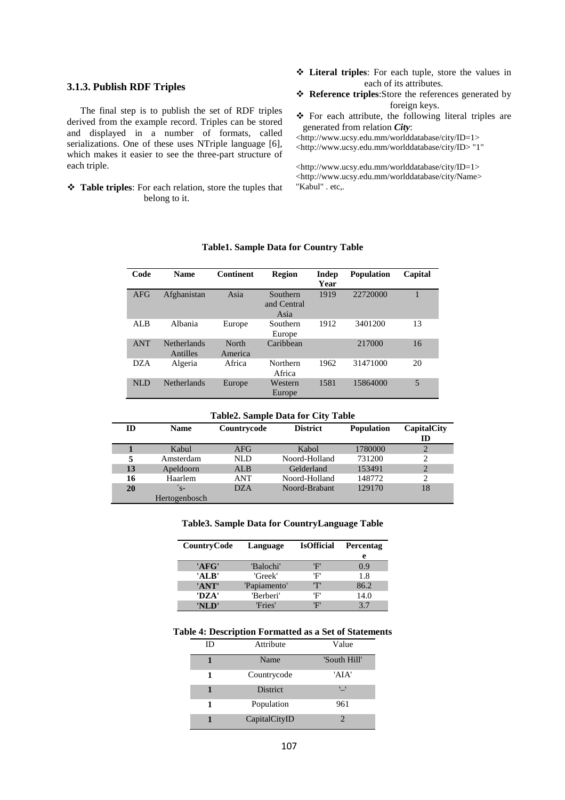## **3.1.3. Publish RDF Triples**

 The final step is to publish the set of RDF triples derived from the example record. Triples can be stored and displayed in a number of formats, called serializations. One of these uses NTriple language [6], which makes it easier to see the three-part structure of each triple.

 **Table triples**: For each relation, store the tuples that belong to it.

- **Literal triples**: For each tuple, store the values in each of its attributes.
- **Reference triples**:Store the references generated by foreign keys.
- For each attribute, the following literal triples are generated from relation *City*:

<http://www.ucsy.edu.mm/worlddatabase/city/ID=1> <http://www.ucsy.edu.mm/worlddatabase/city/ID> "1"

<http://www.ucsy.edu.mm/worlddatabase/city/ID=1> <http://www.ucsy.edu.mm/worlddatabase/city/Name> "Kabul" . etc,.

| Code       | <b>Name</b>                    | <b>Continent</b> | <b>Region</b>                   | Indep<br>Year | <b>Population</b> | Capital |
|------------|--------------------------------|------------------|---------------------------------|---------------|-------------------|---------|
| AFG        | Afghanistan                    | Asia             | Southern<br>and Central<br>Asia | 1919          | 22720000          |         |
| ALB        | Albania                        | Europe           | Southern<br>Europe              | 1912          | 3401200           | 13      |
| <b>ANT</b> | <b>Netherlands</b><br>Antilles | North<br>America | Caribbean                       |               | 217000            | 16      |
| <b>DZA</b> | Algeria                        | Africa           | Northern<br>Africa              | 1962          | 31471000          | 20      |
| <b>NLD</b> | <b>Netherlands</b>             | Europe           | Western<br>Europe               | 1581          | 15864000          | 5       |

### **Table1. Sample Data for Country Table**

#### **Table2. Sample Data for City Table**

| ID | <b>Name</b>   | Countrycode | <b>District</b> | <b>Population</b> | CapitalCity    |
|----|---------------|-------------|-----------------|-------------------|----------------|
|    |               |             |                 |                   | ID             |
|    | Kabul         | AFG         | Kabol           | 1780000           | 2              |
| 5  | Amsterdam     | NLD         | Noord-Holland   | 731200            | 2              |
| 13 | Apeldoorn     | <b>ALB</b>  | Gelderland      | 153491            | $\overline{2}$ |
| 16 | Haarlem       | ANT         | Noord-Holland   | 148772            | $\overline{c}$ |
| 20 | $\zeta$ -     | <b>DZA</b>  | Noord-Brabant   | 129170            | 18             |
|    | Hertogenbosch |             |                 |                   |                |

### **Table3. Sample Data for CountryLanguage Table**

| CountryCode | Language     | <b>IsOfficial</b> | <b>Percentag</b> |
|-------------|--------------|-------------------|------------------|
|             |              |                   | e                |
| 'AFG'       | 'Balochi'    | 'F'               | 0.9              |
| 'ALB'       | 'Greek'      | 'F'               | 1.8              |
| 'ANT'       | 'Papiamento' | ידי               | 86.2             |
| 'DZA'       | 'Berberi'    | 'F'               | 14.0             |
| 'NLD'       | 'Fries'      | 'F'               | 37               |

### **Table 4: Description Formatted as a Set of Statements**

| ID | Attribute       | Value        |
|----|-----------------|--------------|
|    | Name            | 'South Hill' |
|    | Countrycode     | 'AIA'        |
|    | <b>District</b> | '_'          |
| 1  | Population      | 961          |
|    | CapitalCityID   | 2            |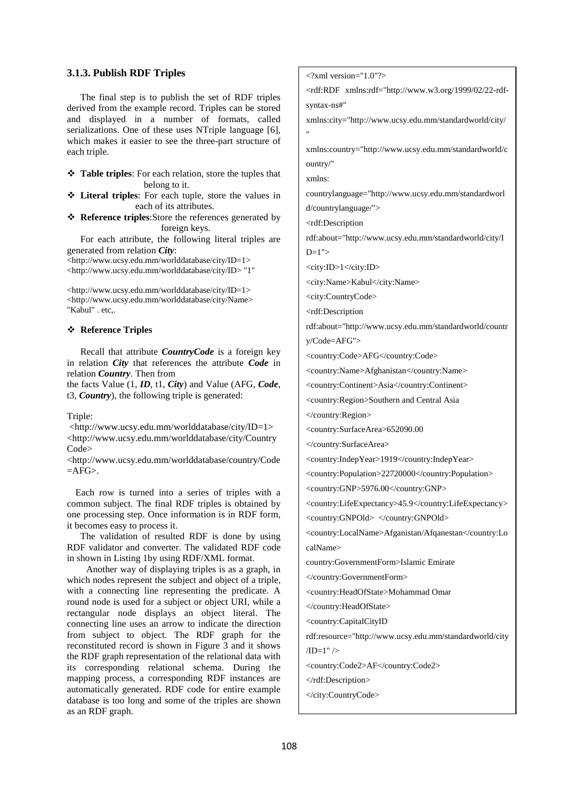## **3.1.3. Publish RDF Triples**

 The final step is to publish the set of RDF triples derived from the example record. Triples can be stored and displayed in a number of formats, called serializations. One of these uses NTriple language [6], which makes it easier to see the three-part structure of each triple.

- **Table triples**: For each relation, store the tuples that belong to it.
- **Literal triples**: For each tuple, store the values in each of its attributes.
- **Reference triples**:Store the references generated by foreign keys.

 For each attribute, the following literal triples are generated from relation *City*:

<http://www.ucsy.edu.mm/worlddatabase/city/ID=1> <http://www.ucsy.edu.mm/worlddatabase/city/ID> "1"

<http://www.ucsy.edu.mm/worlddatabase/city/ID=1> <http://www.ucsy.edu.mm/worlddatabase/city/Name> "Kabul" . etc,.

## **Reference Triples**

 Recall that attribute *CountryCode* is a foreign key in relation *City* that references the attribute *Code* in relation *Country*. Then from

the facts Value (1, *ID*, t1, *City*) and Value (AFG, *Code*, t3, *Country*), the following triple is generated:

#### Triple:

 <http://www.ucsy.edu.mm/worlddatabase/city/ID=1> <http://www.ucsy.edu.mm/worlddatabase/city/Country Code>

<http://www.ucsy.edu.mm/worlddatabase/country/Code  $=$ AFG $>$ .

 Each row is turned into a series of triples with a common subject. The final RDF triples is obtained by one processing step. Once information is in RDF form, it becomes easy to process it.

 The validation of resulted RDF is done by using RDF validator and converter. The validated RDF code in shown in Listing 1by using RDF/XML format.

Another way of displaying triples is as a graph, in which nodes represent the subject and object of a triple, with a connecting line representing the predicate. A round node is used for a subject or object URI, while a rectangular node displays an object literal. The connecting line uses an arrow to indicate the direction from subject to object. The RDF graph for the reconstituted record is shown in Figure 3 and it shows the RDF graph representation of the relational data with its corresponding relational schema. During the mapping process, a corresponding RDF instances are automatically generated. RDF code for entire example database is too long and some of the triples are shown as an RDF graph.

 $\langle 2 \times 2 \times 1 \rangle$  version="1.0"?>

<rdf:RDF xmlns:rdf="http://www.w3.org/1999/02/22-rdfsyntax-ns#"

xmlns:city="http://www.ucsy.edu.mm/standardworld/city/ "

xmlns:country="http://www.ucsy.edu.mm/standardworld/c ountry/"

xmlns:

countrylanguage="http://www.ucsy.edu.mm/standardworl d/countrylanguage/">

<rdf:Description

rdf:about="http://www.ucsy.edu.mm/standardworld/city/I  $D=1$ ">

<city:ID>1</city:ID>

<city:Name>Kabul</city:Name>

<city:CountryCode>

<rdf:Description

rdf:about="http://www.ucsy.edu.mm/standardworld/countr y/Code=AFG">

<country:Code>AFG</country:Code>

<country:Name>Afghanistan</country:Name>

<country:Continent>Asia</country:Continent>

<country:Region>Southern and Central Asia

</country:Region>

<country:SurfaceArea>652090.00

</country:SurfaceArea>

<country:IndepYear>1919</country:IndepYear>

<country:Population>22720000</country:Population>

<country:GNP>5976.00</country:GNP>

<country:LifeExpectancy>45.9</country:LifeExpectancy> <country:GNPOld> </country:GNPOld>

<country:LocalName>Afganistan/Afqanestan</country:Lo calName>

country:GovernmentForm>Islamic Emirate

</country:GovernmentForm>

<country:HeadOfState>Mohammad Omar

</country:HeadOfState>

<country:CapitalCityID

rdf:resource="http://www.ucsy.edu.mm/standardworld/city

 $/ID=1"$  />

<country:Code2>AF</country:Code2>

</rdf:Description>

</city:CountryCode>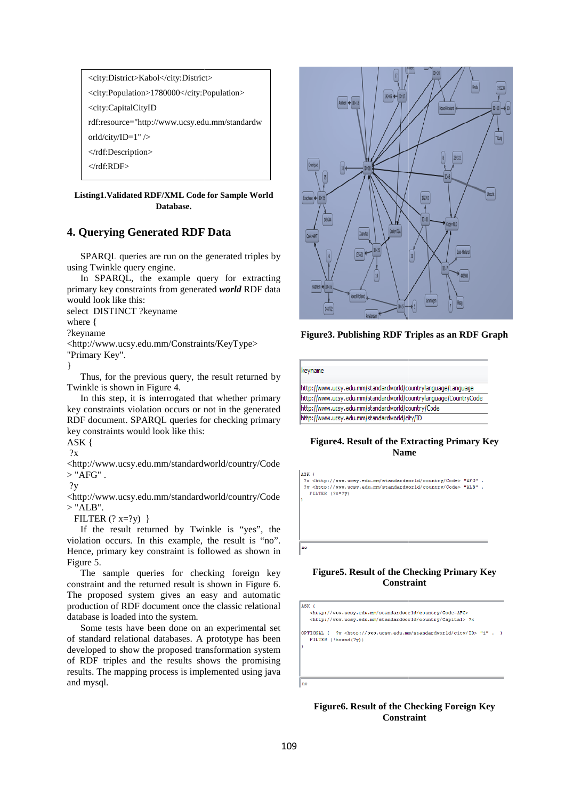<city:District>Kabol</city:District> <city:Population>1780000</city:Population> <city:CapitalCityID rdf:resource="http://www.ucsy.edu.mm/standardw orld/city/ID=1" /> </rdf:Description> </rdf:RDF>

### **Listing1.Validated RDF/XML Code for Sample World Database.**

# **4. Querying Generated RDF RDF Data**

SPARQL queries are run on the generated triples by using Twinkle query engine.

In SPARQL, the example query for extracting primary key constraints from generated *world* RDF data would look like this:

select DISTINCT ?keyname

where {

?keyname

<http://www.ucsy.edu.mm/Constraints/KeyType> <http://www.ucsy.edu.mm/Constraints/KeyType>

"Primary Key". }

Thus, for the previous query, the result returned by Twinkle is shown in Figure 4.

In this step, it is interrogated that whether primary key constraints violation occurs or not in the generated RDF document. SPARQL queries for checking primary key constraints would look like this:

ASK {

?x

<http://www.ucsy.edu.mm/standardworld/country/Code  $>$  "AFG".

?y

<http://www.ucsy.edu.mm/standardworld/country/Code  $>$  "ALB".

FILTER  $(?x=?y)$ }

If the result returned by Twinkle is "yes", the violation occurs. In this example, the result is "no". Hence, primary key constraint is followed as shown in Figure 5. mm/standardworld/country/Code<br>rned by Twinkle is "yes", the<br>his example, the result is "no".<br>onstraint is followed as shown in<br>ies for checking foreign key<br>rned result is shown in Figure 6.

The sample queries for checking foreign key constraint and the returned result is shown in Figure 6. The proposed system gives an easy and automatic production of RDF document once the classic relational database is loaded into the system.

Some tests have been done on an experimental set of standard relational databases. A prototype has been developed to show the proposed transformation system of RDF triples and the results shows the promising results. The mapping process is implemented using java and mysql.



**Figure3. Publishing RDF Triples as an RDF Graph**

| keyname                   |                                                                                                                                                                     |
|---------------------------|---------------------------------------------------------------------------------------------------------------------------------------------------------------------|
|                           |                                                                                                                                                                     |
|                           | http://www.ucsy.edu.mm/standardworld/countrylanguage/Language                                                                                                       |
|                           | http://www.ucsy.edu.mm/standardworld/countrylanguage/CountryCode                                                                                                    |
|                           | http://www.ucsy.edu.mm/standardworld/country/Code                                                                                                                   |
|                           | http://www.ucsy.edu.mm/standardworld/city/ID                                                                                                                        |
|                           | <b>Figure4. Result of the Extracting Primary K</b>                                                                                                                  |
|                           | <b>Name</b>                                                                                                                                                         |
| ASK {<br>FILTER $(2x=2y)$ | ?x <http: code="" country="" standardworld="" www.ucsy.edu.mm=""> "AFG"<br/>?y <http: code="" country="" standardworld="" www.ucsy.edu.mm=""> "ALB"</http:></http:> |
|                           |                                                                                                                                                                     |
|                           |                                                                                                                                                                     |
|                           |                                                                                                                                                                     |
| no                        |                                                                                                                                                                     |
|                           |                                                                                                                                                                     |
|                           | Figure 5. Result of the Checking Primary Ko<br>Constraint                                                                                                           |
|                           |                                                                                                                                                                     |
|                           | <http: code="AFG" country="" standardworld="" www.ucsy.edu.mm=""><br/><http: capital="" country="" standardworld="" www.ucsy.edu.mm=""> ?x</http:></http:>          |
| FILTER (!bound(?y))       |                                                                                                                                                                     |
| ASK {<br>OPTIONAL {       | ?y <http: city="" id="" standardworld="" www.ucsy.edu.mm=""> "1"</http:>                                                                                            |

## **Figure4. Result of the Extracting Primary Key Name**

## **Figure5. Result of the Checking Primary Key Constraint**

 ${\tt OPTIONAL} \leftarrow ?\overline{y} \iff {\tt \#http://www.ucsy.edu.mm/standardworld/city/ID> "1" . })$ FILTER (!bound (?y))

Inc

 $\vert$ <sub>no</sub>

ASK +

## **Figure6. Result of the Checking Foreign Key Constraint**